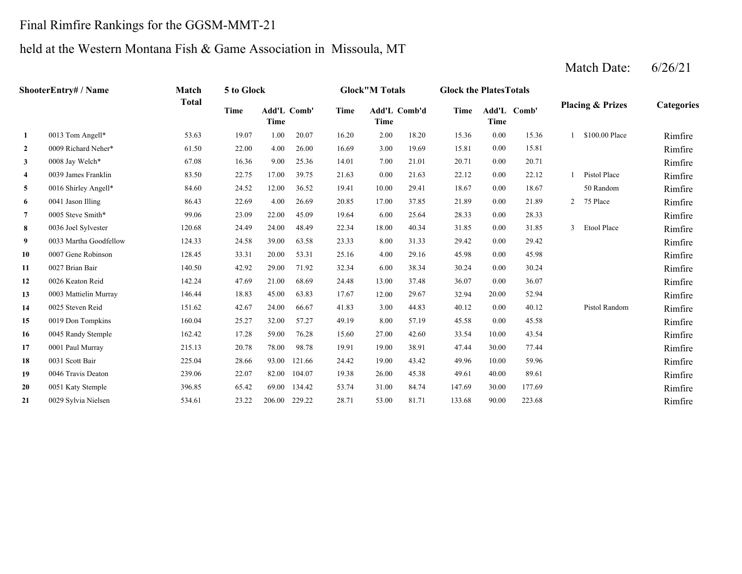### Final Rimfire Rankings for the GGSM-MMT-21

# held at the Western Montana Fish & Game Association in Missoula, MT

|                | ShooterEntry# / Name   | Match        | 5 to Glock |                            |        |       | <b>Glock"M Totals</b> |       | <b>Glock the PlatesTotals</b> |                            |        |                             |                   |
|----------------|------------------------|--------------|------------|----------------------------|--------|-------|-----------------------|-------|-------------------------------|----------------------------|--------|-----------------------------|-------------------|
|                |                        | <b>Total</b> | Time       | Add'L Comb'<br><b>Time</b> |        | Time  | Add'L Comb'd<br>Time  |       | Time                          | Add'L Comb'<br><b>Time</b> |        | <b>Placing &amp; Prizes</b> | <b>Categories</b> |
| $\mathbf{1}$   | 0013 Tom Angell*       | 53.63        | 19.07      | 1.00                       | 20.07  | 16.20 | 2.00                  | 18.20 | 15.36                         | 0.00                       | 15.36  | \$100.00 Place              | Rimfire           |
| $\overline{2}$ | 0009 Richard Neher*    | 61.50        | 22.00      | 4.00                       | 26.00  | 16.69 | 3.00                  | 19.69 | 15.81                         | $0.00\,$                   | 15.81  |                             | Rimfire           |
| 3              | 0008 Jay Welch*        | 67.08        | 16.36      | 9.00                       | 25.36  | 14.01 | 7.00                  | 21.01 | 20.71                         | 0.00                       | 20.71  |                             | Rimfire           |
| 4              | 0039 James Franklin    | 83.50        | 22.75      | 17.00                      | 39.75  | 21.63 | 0.00                  | 21.63 | 22.12                         | 0.00                       | 22.12  | Pistol Place                | Rimfire           |
| 5              | 0016 Shirley Angell*   | 84.60        | 24.52      | 12.00                      | 36.52  | 19.41 | 10.00                 | 29.41 | 18.67                         | 0.00                       | 18.67  | 50 Random                   | Rimfire           |
| 6              | 0041 Jason Illing      | 86.43        | 22.69      | 4.00                       | 26.69  | 20.85 | 17.00                 | 37.85 | 21.89                         | 0.00                       | 21.89  | 2 75 Place                  | Rimfire           |
| $\overline{7}$ | 0005 Steve Smith*      | 99.06        | 23.09      | 22.00                      | 45.09  | 19.64 | 6.00                  | 25.64 | 28.33                         | $0.00\,$                   | 28.33  |                             | Rimfire           |
| 8              | 0036 Joel Sylvester    | 120.68       | 24.49      | 24.00                      | 48.49  | 22.34 | 18.00                 | 40.34 | 31.85                         | 0.00                       | 31.85  | 3 Etool Place               | Rimfire           |
| 9              | 0033 Martha Goodfellow | 124.33       | 24.58      | 39.00                      | 63.58  | 23.33 | 8.00                  | 31.33 | 29.42                         | 0.00                       | 29.42  |                             | Rimfire           |
| 10             | 0007 Gene Robinson     | 128.45       | 33.31      | 20.00                      | 53.31  | 25.16 | 4.00                  | 29.16 | 45.98                         | $0.00\,$                   | 45.98  |                             | Rimfire           |
| 11             | 0027 Brian Bair        | 140.50       | 42.92      | 29.00                      | 71.92  | 32.34 | 6.00                  | 38.34 | 30.24                         | 0.00                       | 30.24  |                             | Rimfire           |
| 12             | 0026 Keaton Reid       | 142.24       | 47.69      | 21.00                      | 68.69  | 24.48 | 13.00                 | 37.48 | 36.07                         | $0.00\,$                   | 36.07  |                             | Rimfire           |
| 13             | 0003 Mattielin Murray  | 146.44       | 18.83      | 45.00                      | 63.83  | 17.67 | 12.00                 | 29.67 | 32.94                         | 20.00                      | 52.94  |                             | Rimfire           |
| 14             | 0025 Steven Reid       | 151.62       | 42.67      | 24.00                      | 66.67  | 41.83 | 3.00                  | 44.83 | 40.12                         | 0.00                       | 40.12  | Pistol Random               | Rimfire           |
| 15             | 0019 Don Tompkins      | 160.04       | 25.27      | 32.00                      | 57.27  | 49.19 | 8.00                  | 57.19 | 45.58                         | $0.00\,$                   | 45.58  |                             | Rimfire           |
| 16             | 0045 Randy Stemple     | 162.42       | 17.28      | 59.00                      | 76.28  | 15.60 | 27.00                 | 42.60 | 33.54                         | 10.00                      | 43.54  |                             | Rimfire           |
| 17             | 0001 Paul Murray       | 215.13       | 20.78      | 78.00                      | 98.78  | 19.91 | 19.00                 | 38.91 | 47.44                         | 30.00                      | 77.44  |                             | Rimfire           |
| 18             | 0031 Scott Bair        | 225.04       | 28.66      | 93.00                      | 121.66 | 24.42 | 19.00                 | 43.42 | 49.96                         | 10.00                      | 59.96  |                             | Rimfire           |
| 19             | 0046 Travis Deaton     | 239.06       | 22.07      | 82.00                      | 104.07 | 19.38 | 26.00                 | 45.38 | 49.61                         | 40.00                      | 89.61  |                             | Rimfire           |
| 20             | 0051 Katy Stemple      | 396.85       | 65.42      | 69.00                      | 134.42 | 53.74 | 31.00                 | 84.74 | 147.69                        | 30.00                      | 177.69 |                             | Rimfire           |
| 21             | 0029 Sylvia Nielsen    | 534.61       | 23.22      | 206.00                     | 229.22 | 28.71 | 53.00                 | 81.71 | 133.68                        | 90.00                      | 223.68 |                             | Rimfire           |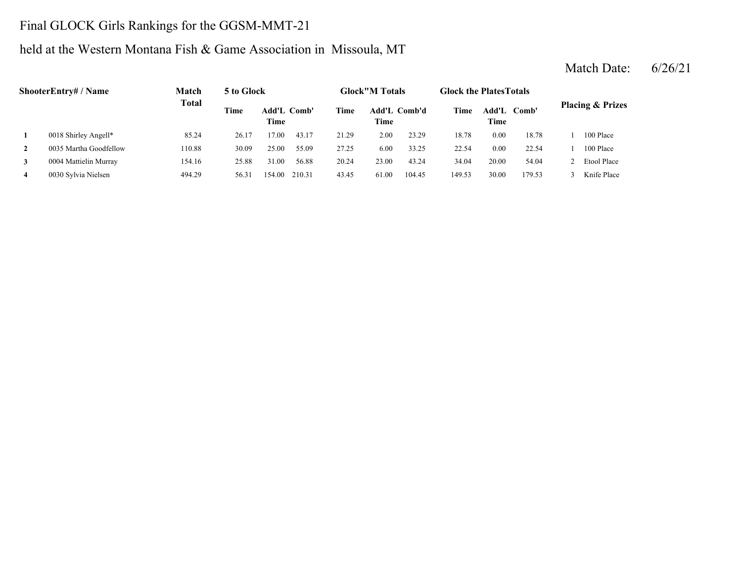# Final GLOCK Girls Rankings for the GGSM-MMT-21

### held at the Western Montana Fish & Game Association in Missoula, MT

|              | ShooterEntry# / Name   | Match        | 5 to Glock |                     |        |       | <b>Glock</b> "M Totals |        | <b>Glock the Plates Totals</b> |       |             |                             |
|--------------|------------------------|--------------|------------|---------------------|--------|-------|------------------------|--------|--------------------------------|-------|-------------|-----------------------------|
|              |                        | <b>Total</b> | Time       | Add'L Comb'<br>Time |        | Time  | Add'L Comb'd<br>Time   |        | Time                           | Time  | Add'L Comb' | <b>Placing &amp; Prizes</b> |
| 1            | 0018 Shirley Angell*   | 85.24        | 26.17      | 17.00               | 43.17  | 21.29 | 2.00                   | 23.29  | 18.78                          | 0.00  | 18.78       | 100 Place                   |
| $\mathbf{2}$ | 0035 Martha Goodfellow | 110.88       | 30.09      | 25.00               | 55.09  | 27.25 | 6.00                   | 33.25  | 22.54                          | 0.00  | 22.54       | 100 Place                   |
| 3            | 0004 Mattielin Murray  | 154.16       | 25.88      | 31.00               | 56.88  | 20.24 | 23.00                  | 43.24  | 34.04                          | 20.00 | 54.04       | Etool Place                 |
| 4            | 0030 Sylvia Nielsen    | 494.29       | 56.31      | 154.00              | 210.31 | 43.45 | 61.00                  | 104.45 | 149.53                         | 30.00 | 179.53      | Knife Place                 |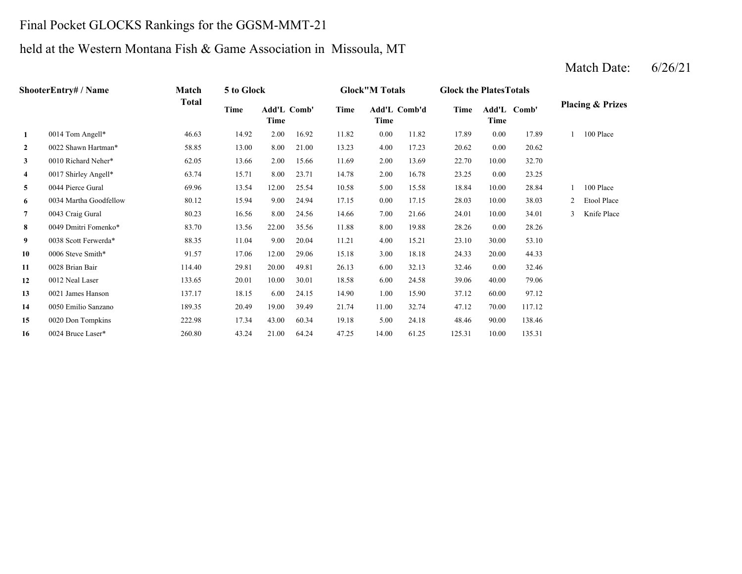### Final Pocket GLOCKS Rankings for the GGSM-MMT-21

### held at the Western Montana Fish & Game Association in Missoula, MT

|                | ShooterEntry# / Name   | Match        | 5 to Glock |                            |       |       | <b>Glock</b> "M Totals |       | <b>Glock the Plates Totals</b> |          |             |   |                             |
|----------------|------------------------|--------------|------------|----------------------------|-------|-------|------------------------|-------|--------------------------------|----------|-------------|---|-----------------------------|
|                |                        | <b>Total</b> | Time       | <b>Add'L Comb'</b><br>Time |       | Time  | Add'L Comb'd<br>Time   |       | Time                           | Time     | Add'L Comb' |   | <b>Placing &amp; Prizes</b> |
| 1              | 0014 Tom Angell*       | 46.63        | 14.92      | 2.00                       | 16.92 | 11.82 | 0.00                   | 11.82 | 17.89                          | 0.00     | 17.89       |   | 100 Place                   |
| $\overline{2}$ | 0022 Shawn Hartman*    | 58.85        | 13.00      | 8.00                       | 21.00 | 13.23 | 4.00                   | 17.23 | 20.62                          | 0.00     | 20.62       |   |                             |
| $\mathbf{3}$   | 0010 Richard Neher*    | 62.05        | 13.66      | 2.00                       | 15.66 | 11.69 | 2.00                   | 13.69 | 22.70                          | 10.00    | 32.70       |   |                             |
| $\overline{4}$ | 0017 Shirley Angell*   | 63.74        | 15.71      | 8.00                       | 23.71 | 14.78 | 2.00                   | 16.78 | 23.25                          | $0.00\,$ | 23.25       |   |                             |
| 5              | 0044 Pierce Gural      | 69.96        | 13.54      | 12.00                      | 25.54 | 10.58 | 5.00                   | 15.58 | 18.84                          | 10.00    | 28.84       |   | 100 Place                   |
| 6              | 0034 Martha Goodfellow | 80.12        | 15.94      | 9.00                       | 24.94 | 17.15 | 0.00                   | 17.15 | 28.03                          | 10.00    | 38.03       | 2 | Etool Place                 |
| $\overline{7}$ | 0043 Craig Gural       | 80.23        | 16.56      | 8.00                       | 24.56 | 14.66 | 7.00                   | 21.66 | 24.01                          | 10.00    | 34.01       | 3 | Knife Place                 |
| 8              | 0049 Dmitri Fomenko*   | 83.70        | 13.56      | 22.00                      | 35.56 | 11.88 | 8.00                   | 19.88 | 28.26                          | $0.00\,$ | 28.26       |   |                             |
| 9              | 0038 Scott Ferwerda*   | 88.35        | 11.04      | 9.00                       | 20.04 | 11.21 | 4.00                   | 15.21 | 23.10                          | 30.00    | 53.10       |   |                             |
| 10             | 0006 Steve Smith*      | 91.57        | 17.06      | 12.00                      | 29.06 | 15.18 | 3.00                   | 18.18 | 24.33                          | 20.00    | 44.33       |   |                             |
| 11             | 0028 Brian Bair        | 114.40       | 29.81      | 20.00                      | 49.81 | 26.13 | 6.00                   | 32.13 | 32.46                          | $0.00\,$ | 32.46       |   |                             |
| 12             | 0012 Neal Laser        | 133.65       | 20.01      | 10.00                      | 30.01 | 18.58 | 6.00                   | 24.58 | 39.06                          | 40.00    | 79.06       |   |                             |
| 13             | 0021 James Hanson      | 137.17       | 18.15      | 6.00                       | 24.15 | 14.90 | 1.00                   | 15.90 | 37.12                          | 60.00    | 97.12       |   |                             |
| 14             | 0050 Emilio Sanzano    | 189.35       | 20.49      | 19.00                      | 39.49 | 21.74 | 11.00                  | 32.74 | 47.12                          | 70.00    | 117.12      |   |                             |
| 15             | 0020 Don Tompkins      | 222.98       | 17.34      | 43.00                      | 60.34 | 19.18 | 5.00                   | 24.18 | 48.46                          | 90.00    | 138.46      |   |                             |
| 16             | 0024 Bruce Laser*      | 260.80       | 43.24      | 21.00                      | 64.24 | 47.25 | 14.00                  | 61.25 | 125.31                         | 10.00    | 135.31      |   |                             |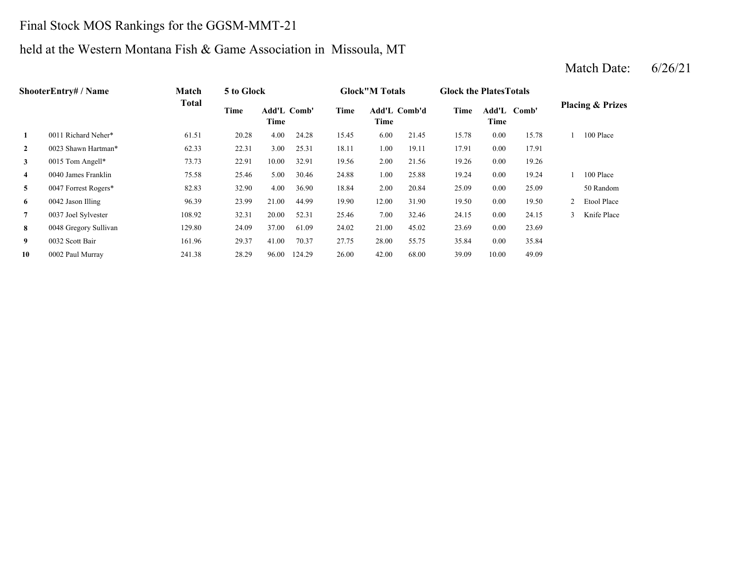### Final Stock MOS Rankings for the GGSM-MMT-21

### held at the Western Montana Fish & Game Association in Missoula, MT

### **2** 1.00 17.91 0023 Shawn Hartman\* 62.33 22.31 3.00 25.31 18.11 19.11 **3** 2.00 19.26 0015 Tom Angell\* 73.73 22.91 10.00 32.91 19.56 21.56 0.00 **4** 1.00 19.24 0040 James Franklin 75.58 25.46 5.00 30.46 24.88 25.88 0.00 19.24 **5** 2.00 25.09 0047 Forrest Rogers\* 82.83 32.90 4.00 36.90 18.84 20.84 0.00 **6** 12.00 19.50 0042 Jason Illing 96.39 23.99 21.00 44.99 19.90 31.90 0.00 **7** 7.00 24.15 0037 Joel Sylvester 108.92 32.31 20.00 52.31 25.46 32.46 **8** 21.00 23.69 0048 Gregory Sullivan 129.80 24.09 37.00 61.09 24.02 **9** 28.00 35.84 0032 Scott Bair 161.96 29.37 41.00 70.37 27.75 55.75 **10** 42.00 39.09 49.09 0002 Paul Murray 241.38 28.29 96.00 124.29 26.00 68.00 10.00 0.00 35.84 45.02 0.00 23.69 0.00 24.15 3 Knife Place 19.50 2 Etool Place 25.09 50 Random 1 100 Place 19.26 0.00 17.91 15.78 1 100 Place 24.28 15.45 6.00 21.45 15.78 0.00 **Add'L Comb'd Time Add'L Time Time Comb' 1**0011 Richard Neher\* 61.51 20.28 4.00 **ShooterEntry# / Name Match Total 5 to Glock Glock"M Totals Glock the PlatesTotals Placing & Prizes Time Add'L Time** Add'L Comb'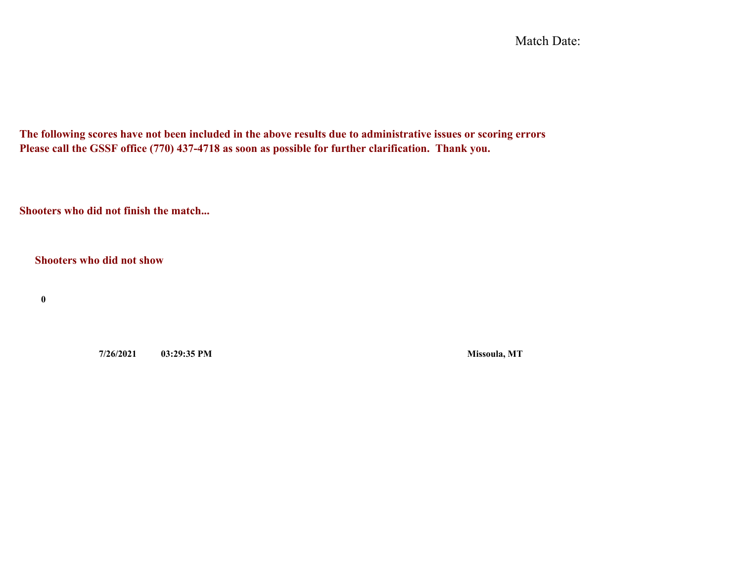Match Date:

**The following scores have not been included in the above results due to administrative issues or scoring errors Please call the GSSF office (770) 437-4718 as soon as possible for further clarification. Thank you.**

**Shooters who did not finish the match...**

**Shooters who did not show**

**0**

**7/26/2021 03:29:35 PM Missoula, MT**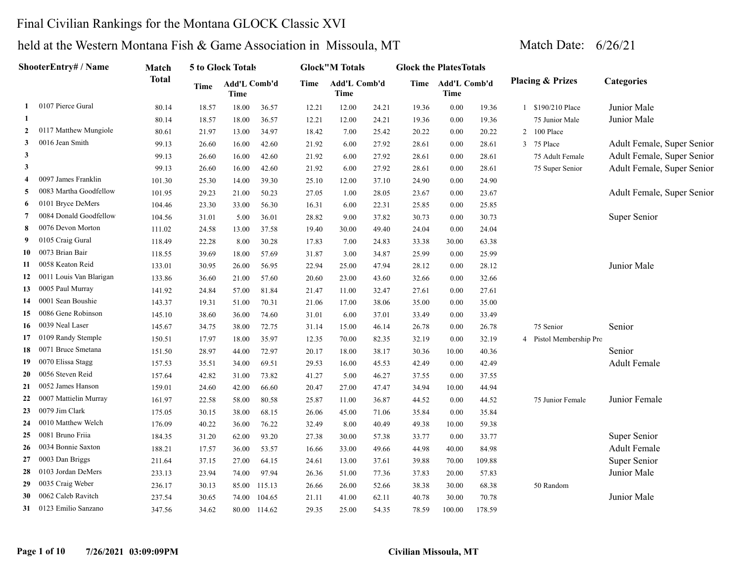### Final Civilian Rankings for the Montana GLOCK Classic XVI

|                | ShooterEntry# / Name    | Match        |       | 5 to Glock Totals    |              |       | <b>Glock</b> "M Totals |       | <b>Glock the Plates Totals</b> |                           |        |   |                             |                            |
|----------------|-------------------------|--------------|-------|----------------------|--------------|-------|------------------------|-------|--------------------------------|---------------------------|--------|---|-----------------------------|----------------------------|
|                |                         | <b>Total</b> | Time  | Add'L Comb'd<br>Time |              | Time  | Add'L Comb'd<br>Time   |       |                                | Time Add'L Comb'd<br>Time |        |   | <b>Placing &amp; Prizes</b> | <b>Categories</b>          |
| 1              | 0107 Pierce Gural       | 80.14        | 18.57 | 18.00                | 36.57        | 12.21 | 12.00                  | 24.21 | 19.36                          | 0.00                      | 19.36  |   | 1 \$190/210 Place           | Junior Male                |
| 1              |                         | 80.14        | 18.57 | 18.00                | 36.57        | 12.21 | 12.00                  | 24.21 | 19.36                          | 0.00                      | 19.36  |   | 75 Junior Male              | Junior Male                |
| $\overline{2}$ | 0117 Matthew Mungiole   | 80.61        | 21.97 | 13.00                | 34.97        | 18.42 | 7.00                   | 25.42 | 20.22                          | 0.00                      | 20.22  |   | 2 100 Place                 |                            |
| 3              | 0016 Jean Smith         | 99.13        | 26.60 | 16.00                | 42.60        | 21.92 | 6.00                   | 27.92 | 28.61                          | 0.00                      | 28.61  |   | 3 75 Place                  | Adult Female, Super Senior |
| $\mathbf{3}$   |                         | 99.13        | 26.60 | 16.00                | 42.60        | 21.92 | 6.00                   | 27.92 | 28.61                          | 0.00                      | 28.61  |   | 75 Adult Female             | Adult Female, Super Senior |
| $\mathbf{3}$   |                         | 99.13        | 26.60 | 16.00                | 42.60        | 21.92 | 6.00                   | 27.92 | 28.61                          | 0.00                      | 28.61  |   | 75 Super Senior             | Adult Female, Super Senior |
| 4              | 0097 James Franklin     | 101.30       | 25.30 | 14.00                | 39.30        | 25.10 | 12.00                  | 37.10 | 24.90                          | 0.00                      | 24.90  |   |                             |                            |
| 5              | 0083 Martha Goodfellow  | 101.95       | 29.23 | 21.00                | 50.23        | 27.05 | 1.00                   | 28.05 | 23.67                          | 0.00                      | 23.67  |   |                             | Adult Female, Super Senior |
| 6              | 0101 Bryce DeMers       | 104.46       | 23.30 | 33.00                | 56.30        | 16.31 | 6.00                   | 22.31 | 25.85                          | 0.00                      | 25.85  |   |                             |                            |
| 7              | 0084 Donald Goodfellow  | 104.56       | 31.01 | 5.00                 | 36.01        | 28.82 | 9.00                   | 37.82 | 30.73                          | 0.00                      | 30.73  |   |                             | Super Senior               |
| 8              | 0076 Devon Morton       | 111.02       | 24.58 | 13.00                | 37.58        | 19.40 | 30.00                  | 49.40 | 24.04                          | 0.00                      | 24.04  |   |                             |                            |
| 9              | 0105 Craig Gural        | 118.49       | 22.28 | 8.00                 | 30.28        | 17.83 | 7.00                   | 24.83 | 33.38                          | 30.00                     | 63.38  |   |                             |                            |
| 10             | 0073 Brian Bair         | 118.55       | 39.69 | 18.00                | 57.69        | 31.87 | 3.00                   | 34.87 | 25.99                          | 0.00                      | 25.99  |   |                             |                            |
| 11             | 0058 Keaton Reid        | 133.01       | 30.95 | 26.00                | 56.95        | 22.94 | 25.00                  | 47.94 | 28.12                          | 0.00                      | 28.12  |   |                             | Junior Male                |
| 12             | 0011 Louis Van Blarigan | 133.86       | 36.60 | 21.00                | 57.60        | 20.60 | 23.00                  | 43.60 | 32.66                          | 0.00                      | 32.66  |   |                             |                            |
| 13             | 0005 Paul Murray        | 141.92       | 24.84 | 57.00                | 81.84        | 21.47 | 11.00                  | 32.47 | 27.61                          | 0.00                      | 27.61  |   |                             |                            |
| 14             | 0001 Sean Boushie       | 143.37       | 19.31 | 51.00                | 70.31        | 21.06 | 17.00                  | 38.06 | 35.00                          | 0.00                      | 35.00  |   |                             |                            |
| 15             | 0086 Gene Robinson      | 145.10       | 38.60 | 36.00                | 74.60        | 31.01 | 6.00                   | 37.01 | 33.49                          | 0.00                      | 33.49  |   |                             |                            |
| 16             | 0039 Neal Laser         | 145.67       | 34.75 | 38.00                | 72.75        | 31.14 | 15.00                  | 46.14 | 26.78                          | 0.00                      | 26.78  |   | 75 Senior                   | Senior                     |
| 17             | 0109 Randy Stemple      | 150.51       | 17.97 | 18.00                | 35.97        | 12.35 | 70.00                  | 82.35 | 32.19                          | 0.00                      | 32.19  | 4 | Pistol Membership Pro       |                            |
| 18             | 0071 Bruce Smetana      | 151.50       | 28.97 | 44.00                | 72.97        | 20.17 | 18.00                  | 38.17 | 30.36                          | 10.00                     | 40.36  |   |                             | Senior                     |
| 19             | 0070 Elissa Stagg       | 157.53       | 35.51 | 34.00                | 69.51        | 29.53 | 16.00                  | 45.53 | 42.49                          | 0.00                      | 42.49  |   |                             | <b>Adult Female</b>        |
| 20             | 0056 Steven Reid        | 157.64       | 42.82 | 31.00                | 73.82        | 41.27 | 5.00                   | 46.27 | 37.55                          | 0.00                      | 37.55  |   |                             |                            |
| 21             | 0052 James Hanson       | 159.01       | 24.60 | 42.00                | 66.60        | 20.47 | 27.00                  | 47.47 | 34.94                          | 10.00                     | 44.94  |   |                             |                            |
| 22             | 0007 Mattielin Murray   | 161.97       | 22.58 | 58.00                | 80.58        | 25.87 | 11.00                  | 36.87 | 44.52                          | 0.00                      | 44.52  |   | 75 Junior Female            | Junior Female              |
| 23             | 0079 Jim Clark          | 175.05       | 30.15 | 38.00                | 68.15        | 26.06 | 45.00                  | 71.06 | 35.84                          | 0.00                      | 35.84  |   |                             |                            |
| 24             | 0010 Matthew Welch      | 176.09       | 40.22 | 36.00                | 76.22        | 32.49 | 8.00                   | 40.49 | 49.38                          | 10.00                     | 59.38  |   |                             |                            |
| 25             | 0081 Bruno Friia        | 184.35       | 31.20 | 62.00                | 93.20        | 27.38 | 30.00                  | 57.38 | 33.77                          | 0.00                      | 33.77  |   |                             | Super Senior               |
| 26             | 0034 Bonnie Saxton      | 188.21       | 17.57 | 36.00                | 53.57        | 16.66 | 33.00                  | 49.66 | 44.98                          | 40.00                     | 84.98  |   |                             | <b>Adult Female</b>        |
| 27             | 0003 Dan Briggs         | 211.64       | 37.15 | 27.00                | 64.15        | 24.61 | 13.00                  | 37.61 | 39.88                          | 70.00                     | 109.88 |   |                             | Super Senior               |
| 28             | 0103 Jordan DeMers      | 233.13       | 23.94 | 74.00                | 97.94        | 26.36 | 51.00                  | 77.36 | 37.83                          | 20.00                     | 57.83  |   |                             | Junior Male                |
| 29             | 0035 Craig Weber        | 236.17       | 30.13 | 85.00                | 115.13       | 26.66 | 26.00                  | 52.66 | 38.38                          | 30.00                     | 68.38  |   | 50 Random                   |                            |
| 30             | 0062 Caleb Ravitch      | 237.54       | 30.65 | 74.00                | 104.65       | 21.11 | 41.00                  | 62.11 | 40.78                          | 30.00                     | 70.78  |   |                             | Junior Male                |
| 31             | 0123 Emilio Sanzano     | 347.56       | 34.62 |                      | 80.00 114.62 | 29.35 | 25.00                  | 54.35 | 78.59                          | 100.00                    | 178.59 |   |                             |                            |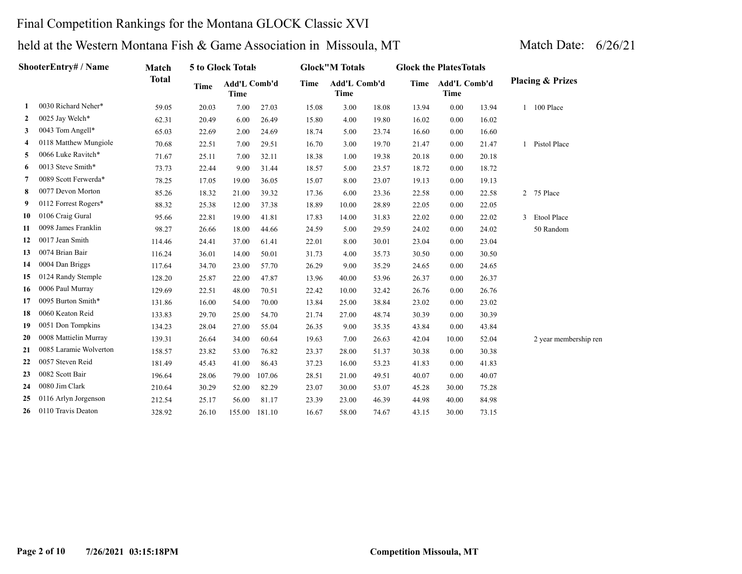### Final Competition Rankings for the Montana GLOCK Classic XVI

|    | ShooterEntry# / Name   | Match        |             | <b>5 to Glock Totals</b>    |        |       | <b>Glock</b> "M Totals      |       | <b>Glock the Plates Totals</b> |                             |       |              |                             |
|----|------------------------|--------------|-------------|-----------------------------|--------|-------|-----------------------------|-------|--------------------------------|-----------------------------|-------|--------------|-----------------------------|
|    |                        | <b>Total</b> | <b>Time</b> | Add'L Comb'd<br><b>Time</b> |        | Time  | Add'L Comb'd<br><b>Time</b> |       | Time                           | Add'L Comb'd<br><b>Time</b> |       |              | <b>Placing &amp; Prizes</b> |
| 1  | 0030 Richard Neher*    | 59.05        | 20.03       | 7.00                        | 27.03  | 15.08 | 3.00                        | 18.08 | 13.94                          | 0.00                        | 13.94 |              | 1 100 Place                 |
| 2  | 0025 Jay Welch*        | 62.31        | 20.49       | 6.00                        | 26.49  | 15.80 | 4.00                        | 19.80 | 16.02                          | 0.00                        | 16.02 |              |                             |
| 3  | 0043 Tom Angell*       | 65.03        | 22.69       | 2.00                        | 24.69  | 18.74 | 5.00                        | 23.74 | 16.60                          | 0.00                        | 16.60 |              |                             |
| 4  | 0118 Matthew Mungiole  | 70.68        | 22.51       | 7.00                        | 29.51  | 16.70 | 3.00                        | 19.70 | 21.47                          | 0.00                        | 21.47 |              | 1 Pistol Place              |
| 5  | 0066 Luke Ravitch*     | 71.67        | 25.11       | 7.00                        | 32.11  | 18.38 | 1.00                        | 19.38 | 20.18                          | 0.00                        | 20.18 |              |                             |
| 6  | 0013 Steve Smith*      | 73.73        | 22.44       | 9.00                        | 31.44  | 18.57 | 5.00                        | 23.57 | 18.72                          | 0.00                        | 18.72 |              |                             |
| 7  | 0089 Scott Ferwerda*   | 78.25        | 17.05       | 19.00                       | 36.05  | 15.07 | 8.00                        | 23.07 | 19.13                          | 0.00                        | 19.13 |              |                             |
| 8  | 0077 Devon Morton      | 85.26        | 18.32       | 21.00                       | 39.32  | 17.36 | 6.00                        | 23.36 | 22.58                          | 0.00                        | 22.58 |              | 2 75 Place                  |
| 9  | 0112 Forrest Rogers*   | 88.32        | 25.38       | 12.00                       | 37.38  | 18.89 | 10.00                       | 28.89 | 22.05                          | 0.00                        | 22.05 |              |                             |
| 10 | 0106 Craig Gural       | 95.66        | 22.81       | 19.00                       | 41.81  | 17.83 | 14.00                       | 31.83 | 22.02                          | 0.00                        | 22.02 | $\mathbf{3}$ | Etool Place                 |
| 11 | 0098 James Franklin    | 98.27        | 26.66       | 18.00                       | 44.66  | 24.59 | 5.00                        | 29.59 | 24.02                          | 0.00                        | 24.02 |              | 50 Random                   |
| 12 | 0017 Jean Smith        | 114.46       | 24.41       | 37.00                       | 61.41  | 22.01 | 8.00                        | 30.01 | 23.04                          | 0.00                        | 23.04 |              |                             |
| 13 | 0074 Brian Bair        | 116.24       | 36.01       | 14.00                       | 50.01  | 31.73 | 4.00                        | 35.73 | 30.50                          | 0.00                        | 30.50 |              |                             |
| 14 | 0004 Dan Briggs        | 117.64       | 34.70       | 23.00                       | 57.70  | 26.29 | 9.00                        | 35.29 | 24.65                          | 0.00                        | 24.65 |              |                             |
| 15 | 0124 Randy Stemple     | 128.20       | 25.87       | 22.00                       | 47.87  | 13.96 | 40.00                       | 53.96 | 26.37                          | 0.00                        | 26.37 |              |                             |
| 16 | 0006 Paul Murray       | 129.69       | 22.51       | 48.00                       | 70.51  | 22.42 | 10.00                       | 32.42 | 26.76                          | 0.00                        | 26.76 |              |                             |
| 17 | 0095 Burton Smith*     | 131.86       | 16.00       | 54.00                       | 70.00  | 13.84 | 25.00                       | 38.84 | 23.02                          | 0.00                        | 23.02 |              |                             |
| 18 | 0060 Keaton Reid       | 133.83       | 29.70       | 25.00                       | 54.70  | 21.74 | 27.00                       | 48.74 | 30.39                          | 0.00                        | 30.39 |              |                             |
| 19 | 0051 Don Tompkins      | 134.23       | 28.04       | 27.00                       | 55.04  | 26.35 | 9.00                        | 35.35 | 43.84                          | 0.00                        | 43.84 |              |                             |
| 20 | 0008 Mattielin Murray  | 139.31       | 26.64       | 34.00                       | 60.64  | 19.63 | 7.00                        | 26.63 | 42.04                          | 10.00                       | 52.04 |              | 2 year membership ren       |
| 21 | 0085 Laramie Wolverton | 158.57       | 23.82       | 53.00                       | 76.82  | 23.37 | 28.00                       | 51.37 | 30.38                          | 0.00                        | 30.38 |              |                             |
| 22 | 0057 Steven Reid       | 181.49       | 45.43       | 41.00                       | 86.43  | 37.23 | 16.00                       | 53.23 | 41.83                          | 0.00                        | 41.83 |              |                             |
| 23 | 0082 Scott Bair        | 196.64       | 28.06       | 79.00                       | 107.06 | 28.51 | 21.00                       | 49.51 | 40.07                          | 0.00                        | 40.07 |              |                             |
| 24 | 0080 Jim Clark         | 210.64       | 30.29       | 52.00                       | 82.29  | 23.07 | 30.00                       | 53.07 | 45.28                          | 30.00                       | 75.28 |              |                             |
| 25 | 0116 Arlyn Jorgenson   | 212.54       | 25.17       | 56.00                       | 81.17  | 23.39 | 23.00                       | 46.39 | 44.98                          | 40.00                       | 84.98 |              |                             |
| 26 | 0110 Travis Deaton     | 328.92       | 26.10       | 155.00                      | 181.10 | 16.67 | 58.00                       | 74.67 | 43.15                          | 30.00                       | 73.15 |              |                             |
|    |                        |              |             |                             |        |       |                             |       |                                |                             |       |              |                             |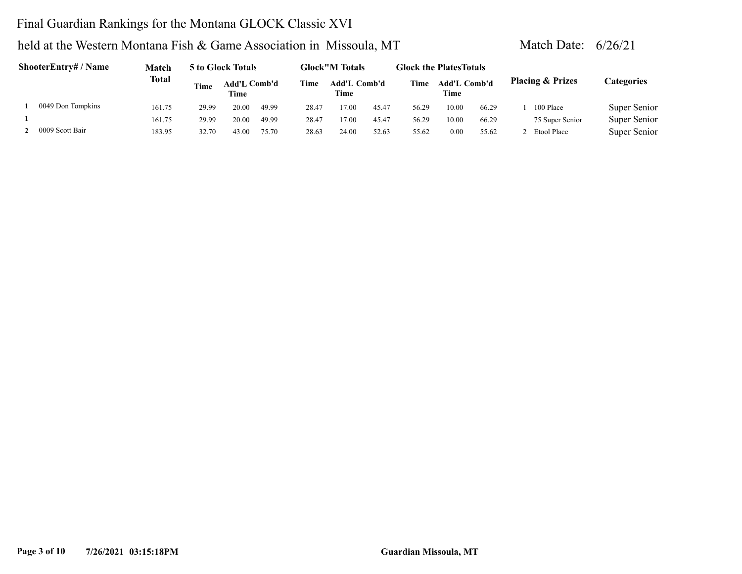### Final Guardian Rankings for the Montana GLOCK Classic XVI

| ShooterEntry# / Name | Match        |             | 5 to Glock Totals    |       |             | <b>Glock"M Totals</b>              |       | <b>Glock the PlatesTotals</b> |                             |       |                             |                   |
|----------------------|--------------|-------------|----------------------|-------|-------------|------------------------------------|-------|-------------------------------|-----------------------------|-------|-----------------------------|-------------------|
|                      | <b>Total</b> | <b>Time</b> | Add'L Comb'd<br>Time |       | <b>Time</b> | <b>Add'L Comb'd</b><br><b>Time</b> |       | Time                          | <b>Add'L Comb'd</b><br>Time |       | <b>Placing &amp; Prizes</b> | <b>Categories</b> |
| 0049 Don Tompkins    | 161.75       | 29.99       | 20.00                | 49.99 | 28.47       | 17.00                              | 45.47 | 56.29                         | 10.00                       | 66.29 | 100 Place                   | Super Senior      |
|                      | 161.75       | 29.99       | 20.00                | 49.99 | 28.47       | 17.00                              | 45.47 | 56.29                         | 10.00                       | 66.29 | 75 Super Senior             | Super Senior      |
| 0009 Scott Bair      | 183.95       | 32.70       | 43.00                | 75.70 | 28.63       | 24.00                              | 52.63 | 55.62                         | 0.00                        | 55.62 | 2 Etool Place               | Super Senior      |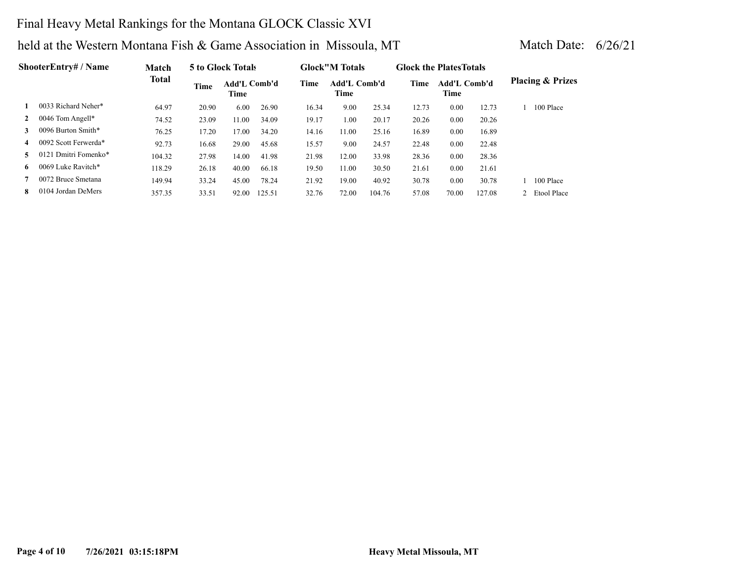### Final Heavy Metal Rankings for the Montana GLOCK Classic XVI

| <b>ShooterEntry# / Name</b> | <b>Match</b>         |        | 5 to Glock Totals |                      |        | <b>Glock</b> "M Totals |                      | <b>Glock the Plates Totals</b> |       |                      |        |                             |
|-----------------------------|----------------------|--------|-------------------|----------------------|--------|------------------------|----------------------|--------------------------------|-------|----------------------|--------|-----------------------------|
|                             |                      | Total  | <b>Time</b>       | Add'L Comb'd<br>Time |        | Time                   | Add'L Comb'd<br>Time |                                | Time  | Add'L Comb'd<br>Time |        | <b>Placing &amp; Prizes</b> |
|                             | 0033 Richard Neher*  | 64.97  | 20.90             | 6.00                 | 26.90  | 16.34                  | 9.00                 | 25.34                          | 12.73 | 0.00                 | 12.73  | 100 Place                   |
| $\mathbf{2}$                | 0046 Tom Angell*     | 74.52  | 23.09             | 11.00                | 34.09  | 19.17                  | 1.00                 | 20.17                          | 20.26 | 0.00                 | 20.26  |                             |
| 3                           | 0096 Burton Smith*   | 76.25  | 17.20             | 17.00                | 34.20  | 14.16                  | 11.00                | 25.16                          | 16.89 | 0.00                 | 16.89  |                             |
| $\overline{4}$              | 0092 Scott Ferwerda* | 92.73  | 16.68             | 29.00                | 45.68  | 15.57                  | 9.00                 | 24.57                          | 22.48 | 0.00                 | 22.48  |                             |
| 5.                          | 0121 Dmitri Fomenko* | 104.32 | 27.98             | 14.00                | 41.98  | 21.98                  | 12.00                | 33.98                          | 28.36 | 0.00                 | 28.36  |                             |
| 6                           | 0069 Luke Ravitch*   | 118.29 | 26.18             | 40.00                | 66.18  | 19.50                  | 11.00                | 30.50                          | 21.61 | 0.00                 | 21.61  |                             |
|                             | 0072 Bruce Smetana   | 149.94 | 33.24             | 45.00                | 78.24  | 21.92                  | 19.00                | 40.92                          | 30.78 | 0.00                 | 30.78  | 100 Place                   |
| 8                           | 0104 Jordan DeMers   | 357.35 | 33.51             | 92.00                | 125.51 | 32.76                  | 72.00                | 104.76                         | 57.08 | 70.00                | 127.08 | 2 Etool Place               |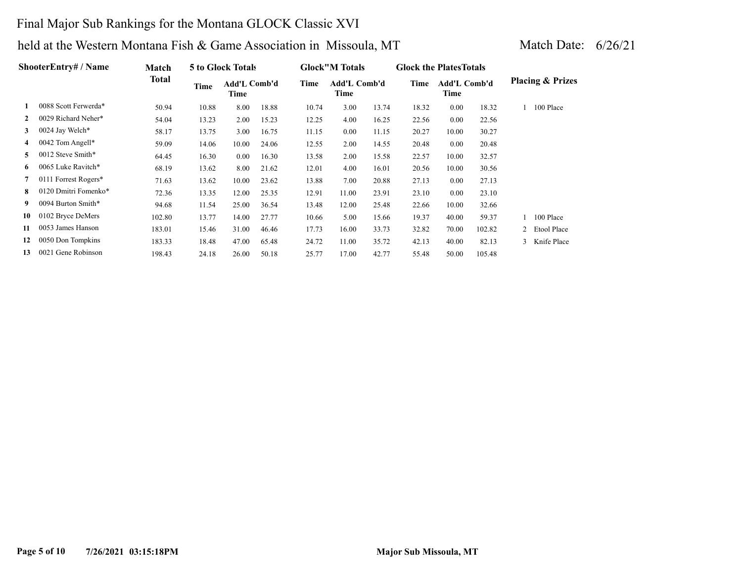### Final Major Sub Rankings for the Montana GLOCK Classic XVI

|                | ShooterEntry# / Name | <b>Match</b> |       | 5 to Glock Totals    |       |       | <b>Glock</b> "M Totals |       | <b>Glock the Plates Totals</b> |                             |        |                             |
|----------------|----------------------|--------------|-------|----------------------|-------|-------|------------------------|-------|--------------------------------|-----------------------------|--------|-----------------------------|
|                |                      | Total        | Time  | Add'L Comb'd<br>Time |       | Time  | Add'L Comb'd<br>Time   |       | Time                           | <b>Add'L Comb'd</b><br>Time |        | <b>Placing &amp; Prizes</b> |
|                | 0088 Scott Ferwerda* | 50.94        | 10.88 | 8.00                 | 18.88 | 10.74 | 3.00                   | 13.74 | 18.32                          | 0.00                        | 18.32  | 100 Place                   |
| $\mathbf{2}$   | 0029 Richard Neher*  | 54.04        | 13.23 | 2.00                 | 15.23 | 12.25 | 4.00                   | 16.25 | 22.56                          | 0.00                        | 22.56  |                             |
| 3              | 0024 Jay Welch*      | 58.17        | 13.75 | 3.00                 | 16.75 | 11.15 | 0.00                   | 11.15 | 20.27                          | 10.00                       | 30.27  |                             |
| $\overline{4}$ | 0042 Tom Angell*     | 59.09        | 14.06 | 10.00                | 24.06 | 12.55 | 2.00                   | 14.55 | 20.48                          | 0.00                        | 20.48  |                             |
| 5.             | 0012 Steve Smith*    | 64.45        | 16.30 | 0.00                 | 16.30 | 13.58 | 2.00                   | 15.58 | 22.57                          | 10.00                       | 32.57  |                             |
| 6              | 0065 Luke Ravitch*   | 68.19        | 13.62 | 8.00                 | 21.62 | 12.01 | 4.00                   | 16.01 | 20.56                          | 10.00                       | 30.56  |                             |
|                | 0111 Forrest Rogers* | 71.63        | 13.62 | 10.00                | 23.62 | 13.88 | 7.00                   | 20.88 | 27.13                          | 0.00                        | 27.13  |                             |
| 8              | 0120 Dmitri Fomenko* | 72.36        | 13.35 | 12.00                | 25.35 | 12.91 | 11.00                  | 23.91 | 23.10                          | 0.00                        | 23.10  |                             |
| 9              | 0094 Burton Smith*   | 94.68        | 11.54 | 25.00                | 36.54 | 13.48 | 12.00                  | 25.48 | 22.66                          | 10.00                       | 32.66  |                             |
| 10             | 0102 Bryce DeMers    | 102.80       | 13.77 | 14.00                | 27.77 | 10.66 | 5.00                   | 15.66 | 19.37                          | 40.00                       | 59.37  | 100 Place                   |
| 11             | 0053 James Hanson    | 183.01       | 15.46 | 31.00                | 46.46 | 17.73 | 16.00                  | 33.73 | 32.82                          | 70.00                       | 102.82 | 2 Etool Place               |
| 12             | 0050 Don Tompkins    | 183.33       | 18.48 | 47.00                | 65.48 | 24.72 | 11.00                  | 35.72 | 42.13                          | 40.00                       | 82.13  | 3 Knife Place               |
| 13             | 0021 Gene Robinson   | 198.43       | 24.18 | 26.00                | 50.18 | 25.77 | 17.00                  | 42.77 | 55.48                          | 50.00                       | 105.48 |                             |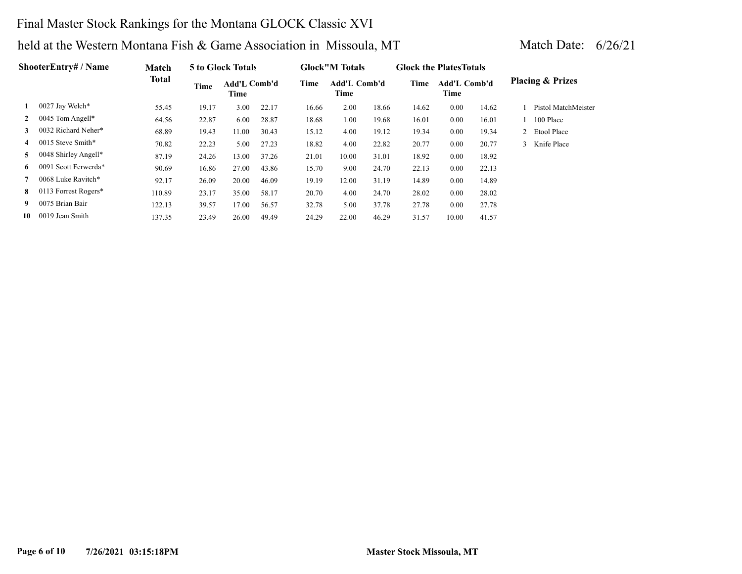### Final Master Stock Rankings for the Montana GLOCK Classic XVI

|              | <b>ShooterEntrv# / Name</b> | <b>Match</b> |             | 5 to Glock Totals    |       |       | <b>Glock</b> "M Totals |       | <b>Glock the Plates Totals</b> |                      |       |                             |
|--------------|-----------------------------|--------------|-------------|----------------------|-------|-------|------------------------|-------|--------------------------------|----------------------|-------|-----------------------------|
|              |                             | <b>Total</b> | <b>Time</b> | Add'L Comb'd<br>Time |       | Time  | Add'L Comb'd<br>Time   |       | Time                           | Add'L Comb'd<br>Time |       | <b>Placing &amp; Prizes</b> |
| 1            | 0027 Jay Welch*             | 55.45        | 19.17       | 3.00                 | 22.17 | 16.66 | 2.00                   | 18.66 | 14.62                          | 0.00                 | 14.62 | Pistol MatchMeister         |
| $\mathbf{2}$ | 0045 Tom Angell*            | 64.56        | 22.87       | 6.00                 | 28.87 | 18.68 | 1.00                   | 19.68 | 16.01                          | 0.00                 | 16.01 | 100 Place                   |
| 3            | 0032 Richard Neher*         | 68.89        | 19.43       | 11.00                | 30.43 | 15.12 | 4.00                   | 19.12 | 19.34                          | 0.00                 | 19.34 | 2 Etool Place               |
| 4            | 0015 Steve Smith*           | 70.82        | 22.23       | 5.00                 | 27.23 | 18.82 | 4.00                   | 22.82 | 20.77                          | 0.00                 | 20.77 | 3 Knife Place               |
| 5            | 0048 Shirley Angell*        | 87.19        | 24.26       | 13.00                | 37.26 | 21.01 | 10.00                  | 31.01 | 18.92                          | 0.00                 | 18.92 |                             |
| 6            | 0091 Scott Ferwerda*        | 90.69        | 16.86       | 27.00                | 43.86 | 15.70 | 9.00                   | 24.70 | 22.13                          | 0.00                 | 22.13 |                             |
| 7            | 0068 Luke Ravitch*          | 92.17        | 26.09       | 20.00                | 46.09 | 19.19 | 12.00                  | 31.19 | 14.89                          | 0.00                 | 14.89 |                             |
| 8            | 0113 Forrest Rogers*        | 110.89       | 23.17       | 35.00                | 58.17 | 20.70 | 4.00                   | 24.70 | 28.02                          | 0.00                 | 28.02 |                             |
| 9.           | 0075 Brian Bair             | 122.13       | 39.57       | 17.00                | 56.57 | 32.78 | 5.00                   | 37.78 | 27.78                          | 0.00                 | 27.78 |                             |
| 10           | 0019 Jean Smith             | 137.35       | 23.49       | 26.00                | 49.49 | 24.29 | 22.00                  | 46.29 | 31.57                          | 10.00                | 41.57 |                             |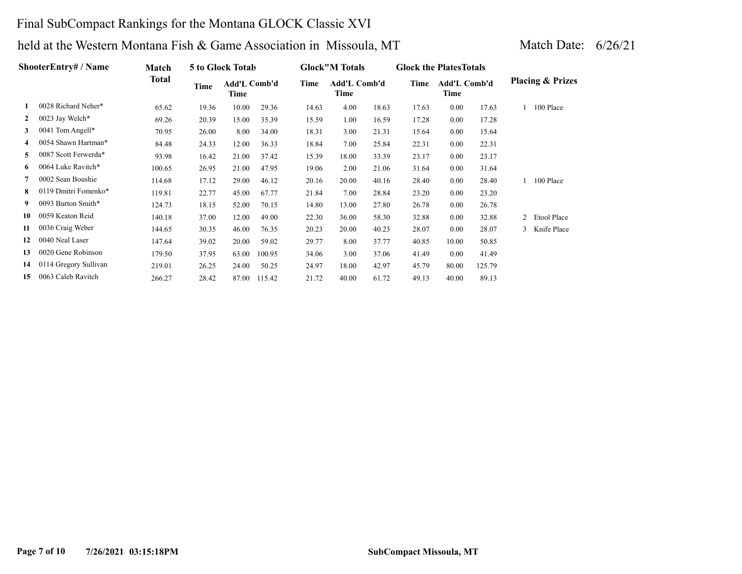### Final SubCompact Rankings for the Montana GLOCK Classic XVI

|                   | ShooterEntry# / Name  | Match  |       | 5 to Glock Totals    |        |       | <b>Glock</b> "M Totals |       | <b>Glock the Plates Totals</b> |                      |        |                |                             |
|-------------------|-----------------------|--------|-------|----------------------|--------|-------|------------------------|-------|--------------------------------|----------------------|--------|----------------|-----------------------------|
|                   |                       | Total  | Time  | Add'L Comb'd<br>Time |        | Time  | Add'L Comb'd<br>Time   |       | Time                           | Add'L Comb'd<br>Time |        |                | <b>Placing &amp; Prizes</b> |
|                   | 0028 Richard Neher*   | 65.62  | 19.36 | 10.00                | 29.36  | 14.63 | 4.00                   | 18.63 | 17.63                          | 0.00                 | 17.63  |                | 100 Place                   |
| $\mathbf{2}$      | 0023 Jay Welch*       | 69.26  | 20.39 | 15.00                | 35.39  | 15.59 | 1.00                   | 16.59 | 17.28                          | 0.00                 | 17.28  |                |                             |
| 3                 | 0041 Tom Angell*      | 70.95  | 26.00 | 8.00                 | 34.00  | 18.31 | 3.00                   | 21.31 | 15.64                          | 0.00                 | 15.64  |                |                             |
| 4                 | 0054 Shawn Hartman*   | 84.48  | 24.33 | 12.00                | 36.33  | 18.84 | 7.00                   | 25.84 | 22.31                          | 0.00                 | 22.31  |                |                             |
| 5.                | 0087 Scott Ferwerda*  | 93.98  | 16.42 | 21.00                | 37.42  | 15.39 | 18.00                  | 33.39 | 23.17                          | 0.00                 | 23.17  |                |                             |
| 6                 | 0064 Luke Ravitch*    | 100.65 | 26.95 | 21.00                | 47.95  | 19.06 | 2.00                   | 21.06 | 31.64                          | $0.00\,$             | 31.64  |                |                             |
|                   | 0002 Sean Boushie     | 114.68 | 17.12 | 29.00                | 46.12  | 20.16 | 20.00                  | 40.16 | 28.40                          | $0.00\,$             | 28.40  |                | 100 Place                   |
| 8                 | 0119 Dmitri Fomenko*  | 119.81 | 22.77 | 45.00                | 67.77  | 21.84 | 7.00                   | 28.84 | 23.20                          | 0.00                 | 23.20  |                |                             |
| 9.                | 0093 Burton Smith*    | 124.73 | 18.15 | 52.00                | 70.15  | 14.80 | 13.00                  | 27.80 | 26.78                          | 0.00                 | 26.78  |                |                             |
| 10                | 0059 Keaton Reid      | 140.18 | 37.00 | 12.00                | 49.00  | 22.30 | 36.00                  | 58.30 | 32.88                          | 0.00                 | 32.88  | $\overline{2}$ | Etool Place                 |
| 11                | 0036 Craig Weber      | 144.65 | 30.35 | 46.00                | 76.35  | 20.23 | 20.00                  | 40.23 | 28.07                          | 0.00                 | 28.07  | 3              | Knife Place                 |
| $12 \ \mathrm{ }$ | 0040 Neal Laser       | 147.64 | 39.02 | 20.00                | 59.02  | 29.77 | 8.00                   | 37.77 | 40.85                          | 10.00                | 50.85  |                |                             |
| 13                | 0020 Gene Robinson    | 179.50 | 37.95 | 63.00                | 100.95 | 34.06 | 3.00                   | 37.06 | 41.49                          | 0.00                 | 41.49  |                |                             |
| 14                | 0114 Gregory Sullivan | 219.01 | 26.25 | 24.00                | 50.25  | 24.97 | 18.00                  | 42.97 | 45.79                          | 80.00                | 125.79 |                |                             |
| 15                | 0063 Caleb Ravitch    | 266.27 | 28.42 | 87.00                | 115.42 | 21.72 | 40.00                  | 61.72 | 49.13                          | 40.00                | 89.13  |                |                             |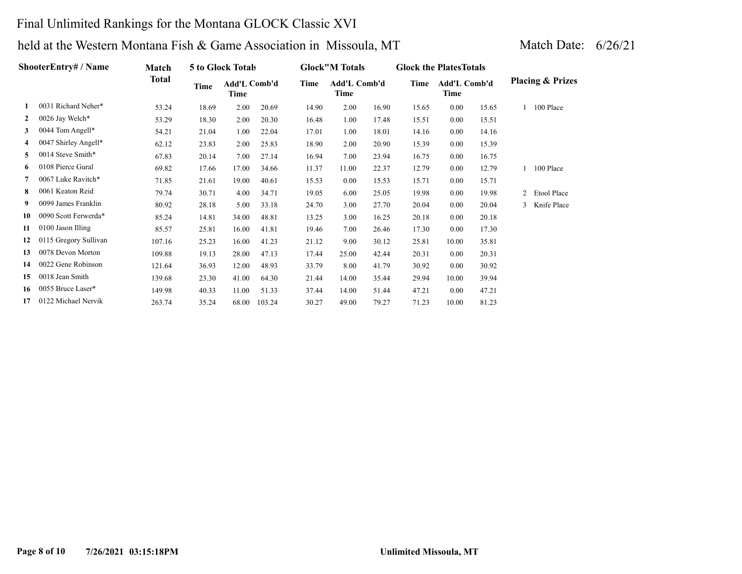### Final Unlimited Rankings for the Montana GLOCK Classic XVI

|    | ShooterEntry# / Name  | Match  |       | 5 to Glock Totals    |        |       | <b>Glock</b> "M Totals |       | <b>Glock the Plates Totals</b> |                      |       |              |                             |
|----|-----------------------|--------|-------|----------------------|--------|-------|------------------------|-------|--------------------------------|----------------------|-------|--------------|-----------------------------|
|    |                       | Total  | Time  | Add'L Comb'd<br>Time |        | Time  | Add'L Comb'd<br>Time   |       | Time                           | Add'L Comb'd<br>Time |       |              | <b>Placing &amp; Prizes</b> |
|    | 0031 Richard Neher*   | 53.24  | 18.69 | 2.00                 | 20.69  | 14.90 | 2.00                   | 16.90 | 15.65                          | 0.00                 | 15.65 |              | 100 Place                   |
| 2  | 0026 Jay Welch*       | 53.29  | 18.30 | 2.00                 | 20.30  | 16.48 | 1.00                   | 17.48 | 15.51                          | 0.00                 | 15.51 |              |                             |
| 3  | 0044 Tom Angell*      | 54.21  | 21.04 | 1.00                 | 22.04  | 17.01 | 1.00                   | 18.01 | 14.16                          | 0.00                 | 14.16 |              |                             |
| 4  | 0047 Shirley Angell*  | 62.12  | 23.83 | 2.00                 | 25.83  | 18.90 | 2.00                   | 20.90 | 15.39                          | 0.00                 | 15.39 |              |                             |
| 5  | 0014 Steve Smith*     | 67.83  | 20.14 | 7.00                 | 27.14  | 16.94 | 7.00                   | 23.94 | 16.75                          | 0.00                 | 16.75 |              |                             |
| 6  | 0108 Pierce Gural     | 69.82  | 17.66 | 17.00                | 34.66  | 11.37 | 11.00                  | 22.37 | 12.79                          | 0.00                 | 12.79 | $\mathbf{1}$ | 100 Place                   |
|    | 0067 Luke Ravitch*    | 71.85  | 21.61 | 19.00                | 40.61  | 15.53 | 0.00                   | 15.53 | 15.71                          | 0.00                 | 15.71 |              |                             |
| 8  | 0061 Keaton Reid      | 79.74  | 30.71 | 4.00                 | 34.71  | 19.05 | 6.00                   | 25.05 | 19.98                          | 0.00                 | 19.98 |              | 2 Etool Place               |
| 9  | 0099 James Franklin   | 80.92  | 28.18 | 5.00                 | 33.18  | 24.70 | 3.00                   | 27.70 | 20.04                          | 0.00                 | 20.04 |              | 3 Knife Place               |
| 10 | 0090 Scott Ferwerda*  | 85.24  | 14.81 | 34.00                | 48.81  | 13.25 | 3.00                   | 16.25 | 20.18                          | 0.00                 | 20.18 |              |                             |
| 11 | 0100 Jason Illing     | 85.57  | 25.81 | 16.00                | 41.81  | 19.46 | 7.00                   | 26.46 | 17.30                          | 0.00                 | 17.30 |              |                             |
| 12 | 0115 Gregory Sullivan | 107.16 | 25.23 | 16.00                | 41.23  | 21.12 | 9.00                   | 30.12 | 25.81                          | 10.00                | 35.81 |              |                             |
| 13 | 0078 Devon Morton     | 109.88 | 19.13 | 28.00                | 47.13  | 17.44 | 25.00                  | 42.44 | 20.31                          | 0.00                 | 20.31 |              |                             |
| 14 | 0022 Gene Robinson    | 121.64 | 36.93 | 12.00                | 48.93  | 33.79 | 8.00                   | 41.79 | 30.92                          | 0.00                 | 30.92 |              |                             |
| 15 | 0018 Jean Smith       | 139.68 | 23.30 | 41.00                | 64.30  | 21.44 | 14.00                  | 35.44 | 29.94                          | 10.00                | 39.94 |              |                             |
| 16 | 0055 Bruce Laser*     | 149.98 | 40.33 | 11.00                | 51.33  | 37.44 | 14.00                  | 51.44 | 47.21                          | 0.00                 | 47.21 |              |                             |
| 17 | 0122 Michael Nervik   | 263.74 | 35.24 | 68.00                | 103.24 | 30.27 | 49.00                  | 79.27 | 71.23                          | 10.00                | 81.23 |              |                             |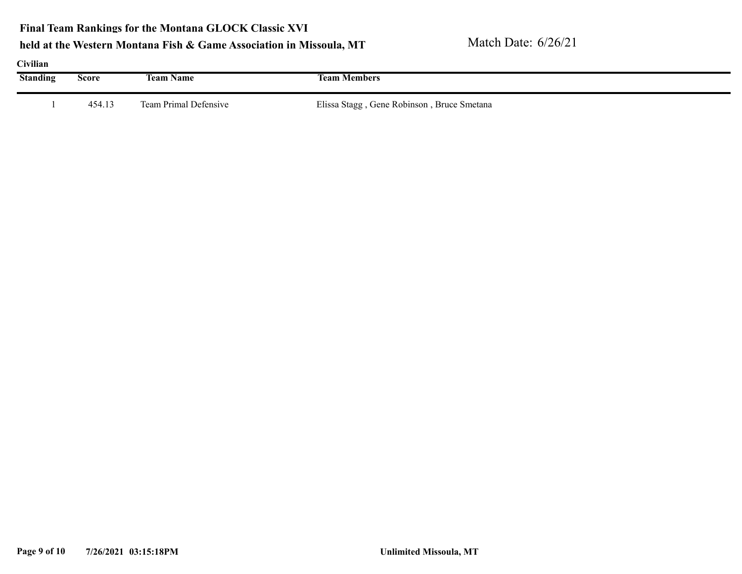### **Final Team Rankings for the Montana GLOCK Classic XVI**

| Civilian        |        |                       |                                            |  |
|-----------------|--------|-----------------------|--------------------------------------------|--|
| <b>Standing</b> | Score  | <b>Team Name</b>      | <b>Team Members</b>                        |  |
|                 |        |                       |                                            |  |
|                 | 454.13 | Team Primal Defensive | Elissa Stagg, Gene Robinson, Bruce Smetana |  |